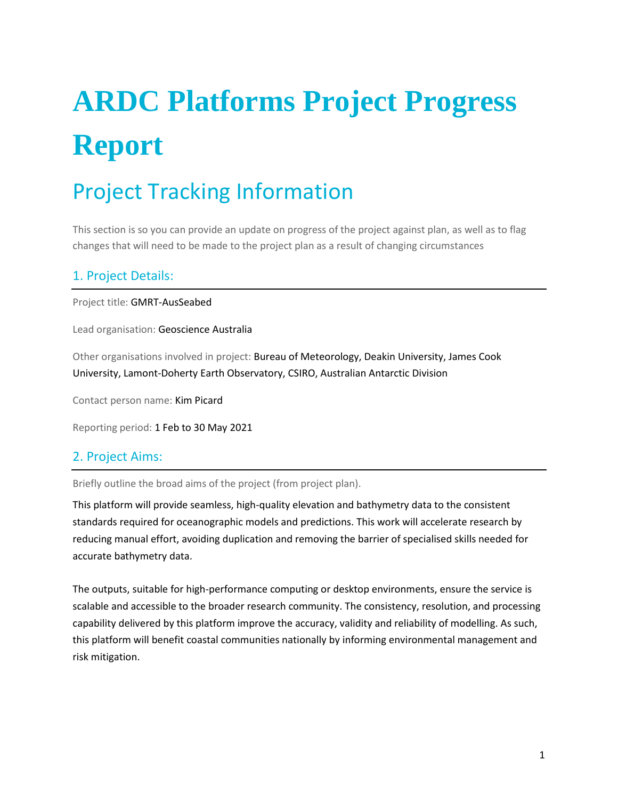# **ARDC Platforms Project Progress Report**

# Project Tracking Information

This section is so you can provide an update on progress of the project against plan, as well as to flag changes that will need to be made to the project plan as a result of changing circumstances

### 1. Project Details:

Project title: GMRT-AusSeabed

Lead organisation: Geoscience Australia

Other organisations involved in project: Bureau of Meteorology, Deakin University, James Cook University, Lamont-Doherty Earth Observatory, CSIRO, Australian Antarctic Division

Contact person name: Kim Picard

Reporting period: 1 Feb to 30 May 2021

### 2. Project Aims:

Briefly outline the broad aims of the project (from project plan).

This platform will provide seamless, high-quality elevation and bathymetry data to the consistent standards required for oceanographic models and predictions. This work will accelerate research by reducing manual effort, avoiding duplication and removing the barrier of specialised skills needed for accurate bathymetry data.

The outputs, suitable for high-performance computing or desktop environments, ensure the service is scalable and accessible to the broader research community. The consistency, resolution, and processing capability delivered by this platform improve the accuracy, validity and reliability of modelling. As such, this platform will benefit coastal communities nationally by informing environmental management and risk mitigation.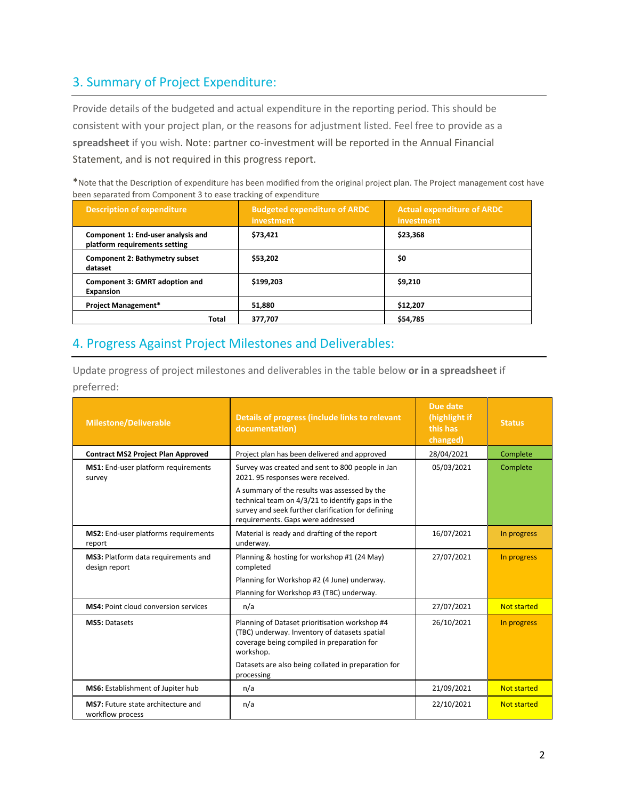# 3. Summary of Project Expenditure:

Provide details of the budgeted and actual expenditure in the reporting period. This should be consistent with your project plan, or the reasons for adjustment listed. Feel free to provide as a **spreadsheet** if you wish. Note: partner co-investment will be reported in the Annual Financial Statement, and is not required in this progress report.

\*Note that the Description of expenditure has been modified from the original project plan. The Project management cost have been separated from Component 3 to ease tracking of expenditure

| <b>Description of expenditure</b>                                   | <b>Budgeted expenditure of ARDC</b><br>investment | <b>Actual expenditure of ARDC</b><br>investment |
|---------------------------------------------------------------------|---------------------------------------------------|-------------------------------------------------|
| Component 1: End-user analysis and<br>platform requirements setting | \$73.421                                          | \$23,368                                        |
| <b>Component 2: Bathymetry subset</b><br>dataset                    | \$53,202                                          | \$0                                             |
| Component 3: GMRT adoption and<br><b>Expansion</b>                  | \$199,203                                         | \$9,210                                         |
| <b>Project Management*</b>                                          | 51.880                                            | \$12,207                                        |
| Total                                                               | 377.707                                           | \$54,785                                        |

### 4. Progress Against Project Milestones and Deliverables:

Update progress of project milestones and deliverables in the table below **or in a spreadsheet** if preferred:

| <b>Milestone/Deliverable</b>                           | Details of progress (include links to relevant<br>documentation)                                                                                                                            | Due date<br>(highlight if<br>this has<br>changed) | <b>Status</b>      |
|--------------------------------------------------------|---------------------------------------------------------------------------------------------------------------------------------------------------------------------------------------------|---------------------------------------------------|--------------------|
| <b>Contract MS2 Project Plan Approved</b>              | Project plan has been delivered and approved                                                                                                                                                | 28/04/2021                                        | Complete           |
| MS1: End-user platform requirements<br>survey          | Survey was created and sent to 800 people in Jan<br>2021. 95 responses were received.                                                                                                       | 05/03/2021                                        | Complete           |
|                                                        | A summary of the results was assessed by the<br>technical team on 4/3/21 to identify gaps in the<br>survey and seek further clarification for defining<br>requirements. Gaps were addressed |                                                   |                    |
| MS2: End-user platforms requirements<br>report         | Material is ready and drafting of the report<br>underway.                                                                                                                                   | 16/07/2021                                        | In progress        |
| MS3: Platform data requirements and<br>design report   | Planning & hosting for workshop #1 (24 May)<br>completed                                                                                                                                    | 27/07/2021                                        | In progress        |
|                                                        | Planning for Workshop #2 (4 June) underway.                                                                                                                                                 |                                                   |                    |
|                                                        | Planning for Workshop #3 (TBC) underway.                                                                                                                                                    |                                                   |                    |
| <b>MS4: Point cloud conversion services</b>            | n/a                                                                                                                                                                                         | 27/07/2021                                        | <b>Not started</b> |
| <b>MS5: Datasets</b>                                   | Planning of Dataset prioritisation workshop #4<br>(TBC) underway. Inventory of datasets spatial<br>coverage being compiled in preparation for<br>workshop.                                  | 26/10/2021                                        | In progress        |
|                                                        | Datasets are also being collated in preparation for<br>processing                                                                                                                           |                                                   |                    |
| MS6: Establishment of Jupiter hub                      | n/a                                                                                                                                                                                         | 21/09/2021                                        | <b>Not started</b> |
| MS7: Future state architecture and<br>workflow process | n/a                                                                                                                                                                                         | 22/10/2021                                        | Not started        |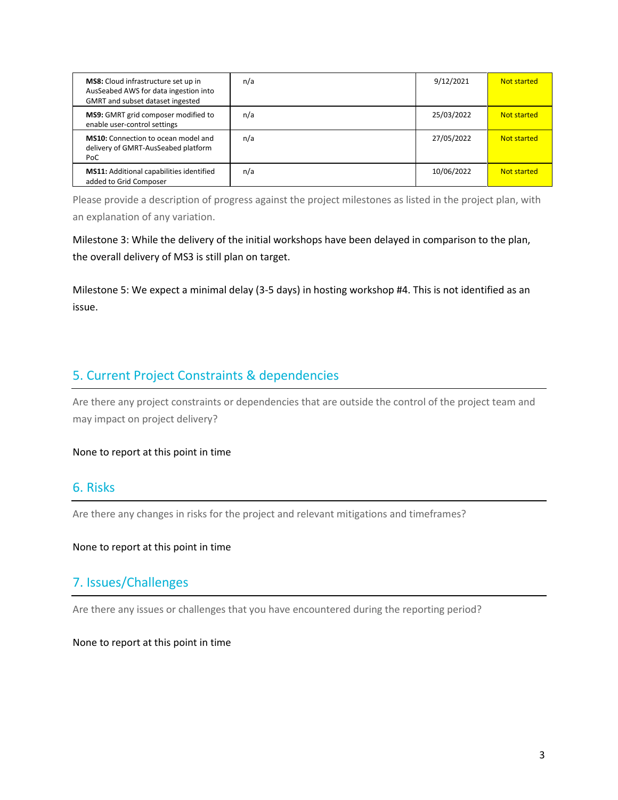| MS8: Cloud infrastructure set up in<br>AusSeabed AWS for data ingestion into<br>GMRT and subset dataset ingested | n/a | 9/12/2021  | Not started |
|------------------------------------------------------------------------------------------------------------------|-----|------------|-------------|
| MS9: GMRT grid composer modified to<br>enable user-control settings                                              | n/a | 25/03/2022 | Not started |
| <b>MS10:</b> Connection to ocean model and<br>delivery of GMRT-AusSeabed platform<br>PoC                         | n/a | 27/05/2022 | Not started |
| <b>MS11:</b> Additional capabilities identified<br>added to Grid Composer                                        | n/a | 10/06/2022 | Not started |

Please provide a description of progress against the project milestones as listed in the project plan, with an explanation of any variation.

Milestone 3: While the delivery of the initial workshops have been delayed in comparison to the plan, the overall delivery of MS3 is still plan on target.

Milestone 5: We expect a minimal delay (3-5 days) in hosting workshop #4. This is not identified as an issue.

## 5. Current Project Constraints & dependencies

Are there any project constraints or dependencies that are outside the control of the project team and may impact on project delivery?

#### None to report at this point in time

### 6. Risks

Are there any changes in risks for the project and relevant mitigations and timeframes?

#### None to report at this point in time

### 7. Issues/Challenges

Are there any issues or challenges that you have encountered during the reporting period?

None to report at this point in time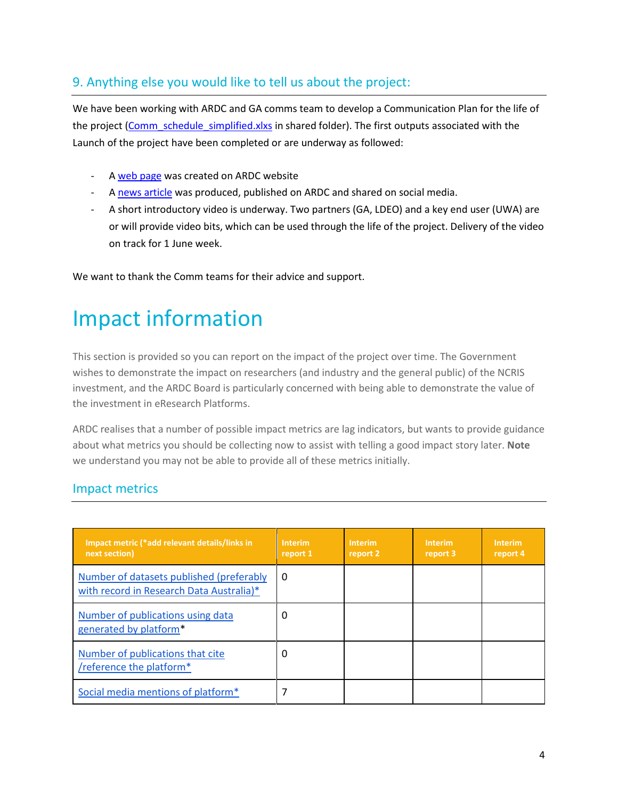# 9. Anything else you would like to tell us about the project:

We have been working with ARDC and GA comms team to develop a Communication Plan for the life of the project [\(Comm\\_schedule\\_simplified.xlxs](https://teams.microsoft.com/l/file/3FAB7B00-B3FD-48DF-B764-F7AE869A885E?tenantId=645b613a-a64c-4250-975f-5f69787d028d&fileType=pdf&objectUrl=https%3A%2F%2Fgeoscienceau.sharepoint.com%2Fsites%2FAusSeabed%2FShared%20Documents%2FGMRT-AusSeabed%2FSteeringCommitteeWorkspace%2FQuarterlyMeetings%2FMeeting1%2FPapers%2FComms_Schedule_simplified%20-%20Copy.pdf&baseUrl=https%3A%2F%2Fgeoscienceau.sharepoint.com%2Fsites%2FAusSeabed&serviceName=teams&threadId=19:9d150386344b43c68ec39255bbf37f22@thread.tacv2&groupId=6317f8c7-2fd1-41a9-8f53-557cb42c9798) in shared folder). The first outputs associated with the Launch of the project have been completed or are underway as followed:

- A [web page](https://ardc.edu.au/project/gmrt-ausseabed/) was created on ARDC website
- A [news article](https://ardc.edu.au/news/piecing-together-the-puzzle-of-australian-seabed-data/) was produced, published on ARDC and shared on social media.
- A short introductory video is underway. Two partners (GA, LDEO) and a key end user (UWA) are or will provide video bits, which can be used through the life of the project. Delivery of the video on track for 1 June week.

We want to thank the Comm teams for their advice and support.

# Impact information

This section is provided so you can report on the impact of the project over time. The Government wishes to demonstrate the impact on researchers (and industry and the general public) of the NCRIS investment, and the ARDC Board is particularly concerned with being able to demonstrate the value of the investment in eResearch Platforms.

ARDC realises that a number of possible impact metrics are lag indicators, but wants to provide guidance about what metrics you should be collecting now to assist with telling a good impact story later. **Note** we understand you may not be able to provide all of these metrics initially.

### Impact metrics

| Impact metric (*add relevant details/links in<br>next section)                       | <b>Interim</b><br>report 1 | Interim<br>report 2 | <b>Interim</b><br>report 3 | <b>Interim</b><br>report 4 |
|--------------------------------------------------------------------------------------|----------------------------|---------------------|----------------------------|----------------------------|
| Number of datasets published (preferably<br>with record in Research Data Australia)* | $\Omega$                   |                     |                            |                            |
| Number of publications using data<br>generated by platform*                          | 0                          |                     |                            |                            |
| Number of publications that cite<br>/reference the platform*                         | 0                          |                     |                            |                            |
| Social media mentions of platform <sup>*</sup>                                       |                            |                     |                            |                            |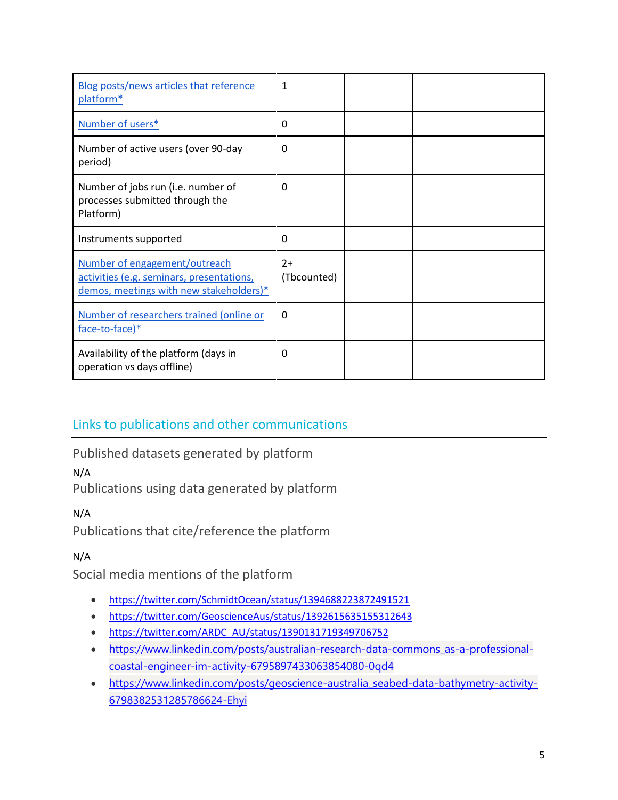| Blog posts/news articles that reference<br>platform*                                 | $\mathbf{1}$ |  |  |
|--------------------------------------------------------------------------------------|--------------|--|--|
| Number of users*                                                                     | 0            |  |  |
| Number of active users (over 90-day<br>period)                                       | 0            |  |  |
| Number of jobs run (i.e. number of<br>processes submitted through the<br>Platform)   | 0            |  |  |
| Instruments supported                                                                | 0            |  |  |
| Number of engagement/outreach                                                        | $2+$         |  |  |
| activities (e.g. seminars, presentations,<br>demos, meetings with new stakeholders)* | (Tbcounted)  |  |  |
| Number of researchers trained (online or<br>face-to-face)*                           | $\Omega$     |  |  |

# Links to publications and other communications

<span id="page-4-0"></span>Published datasets generated by platform

N/A

<span id="page-4-1"></span>Publications using data generated by platform

N/A

<span id="page-4-2"></span>Publications that cite/reference the platform

N/A

<span id="page-4-3"></span>Social media mentions of the platform

- <https://twitter.com/SchmidtOcean/status/1394688223872491521>
- <https://twitter.com/GeoscienceAus/status/1392615635155312643>
- [https://twitter.com/ARDC\\_AU/status/1390131719349706752](https://twitter.com/ARDC_AU/status/1390131719349706752)
- [https://www.linkedin.com/posts/australian-research-data-commons\\_as-a-professional](https://www.linkedin.com/posts/australian-research-data-commons_as-a-professional-coastal-engineer-im-activity-6795897433063854080-0qd4)[coastal-engineer-im-activity-6795897433063854080-0qd4](https://www.linkedin.com/posts/australian-research-data-commons_as-a-professional-coastal-engineer-im-activity-6795897433063854080-0qd4)
- [https://www.linkedin.com/posts/geoscience-australia\\_seabed-data-bathymetry-activity-](https://www.linkedin.com/posts/geoscience-australia_seabed-data-bathymetry-activity-6798382531285786624-Ehyi)[6798382531285786624-Ehyi](https://www.linkedin.com/posts/geoscience-australia_seabed-data-bathymetry-activity-6798382531285786624-Ehyi)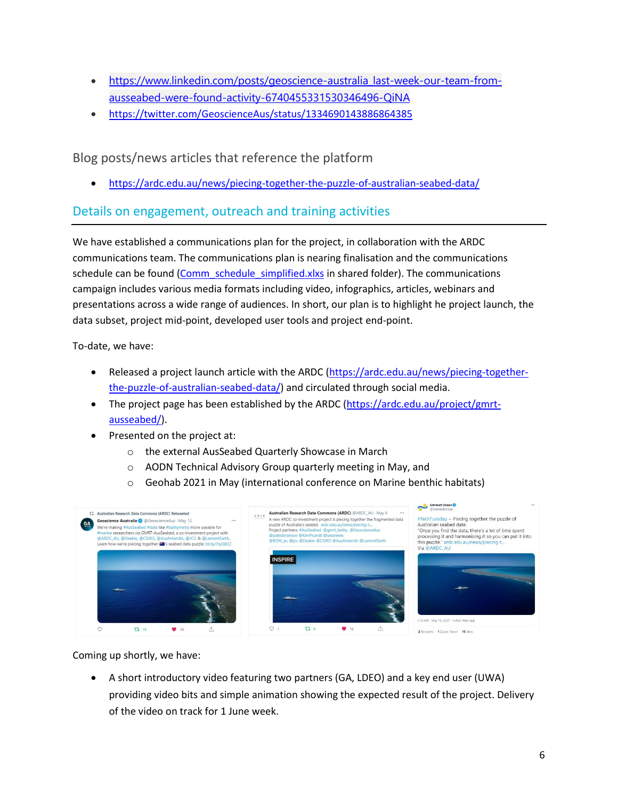- [https://www.linkedin.com/posts/geoscience-australia\\_last-week-our-team-from](https://www.linkedin.com/posts/geoscience-australia_last-week-our-team-from-ausseabed-were-found-activity-6740455331530346496-QiNA)[ausseabed-were-found-activity-6740455331530346496-QiNA](https://www.linkedin.com/posts/geoscience-australia_last-week-our-team-from-ausseabed-were-found-activity-6740455331530346496-QiNA)
- <https://twitter.com/GeoscienceAus/status/1334690143886864385>

<span id="page-5-0"></span>Blog posts/news articles that reference the platform

<https://ardc.edu.au/news/piecing-together-the-puzzle-of-australian-seabed-data/>

### <span id="page-5-1"></span>Details on engagement, outreach and training activities

We have established a communications plan for the project, in collaboration with the ARDC communications team. The communications plan is nearing finalisation and the communications schedule can be found [\(Comm\\_schedule\\_simplified.xlxs](https://teams.microsoft.com/l/file/3FAB7B00-B3FD-48DF-B764-F7AE869A885E?tenantId=645b613a-a64c-4250-975f-5f69787d028d&fileType=pdf&objectUrl=https%3A%2F%2Fgeoscienceau.sharepoint.com%2Fsites%2FAusSeabed%2FShared%20Documents%2FGMRT-AusSeabed%2FSteeringCommitteeWorkspace%2FQuarterlyMeetings%2FMeeting1%2FPapers%2FComms_Schedule_simplified%20-%20Copy.pdf&baseUrl=https%3A%2F%2Fgeoscienceau.sharepoint.com%2Fsites%2FAusSeabed&serviceName=teams&threadId=19:9d150386344b43c68ec39255bbf37f22@thread.tacv2&groupId=6317f8c7-2fd1-41a9-8f53-557cb42c9798) in shared folder). The communications campaign includes various media formats including video, infographics, articles, webinars and presentations across a wide range of audiences. In short, our plan is to highlight he project launch, the data subset, project mid-point, developed user tools and project end-point.

To-date, we have:

- Released a project launch article with the ARDC [\(https://ardc.edu.au/news/piecing-together](https://ardc.edu.au/news/piecing-together-the-puzzle-of-australian-seabed-data/)[the-puzzle-of-australian-seabed-data/\)](https://ardc.edu.au/news/piecing-together-the-puzzle-of-australian-seabed-data/) and circulated through social media.
- The project page has been established by the ARDC [\(https://ardc.edu.au/project/gmrt](https://ardc.edu.au/project/gmrt-ausseabed/)[ausseabed/\)](https://ardc.edu.au/project/gmrt-ausseabed/).
- Presented on the project at:
	- o the external AusSeabed Quarterly Showcase in March
	- o AODN Technical Advisory Group quarterly meeting in May, and
	- o Geohab 2021 in May (international conference on Marine benthic habitats)



Coming up shortly, we have:

 A short introductory video featuring two partners (GA, LDEO) and a key end user (UWA) providing video bits and simple animation showing the expected result of the project. Delivery of the video on track for 1 June week.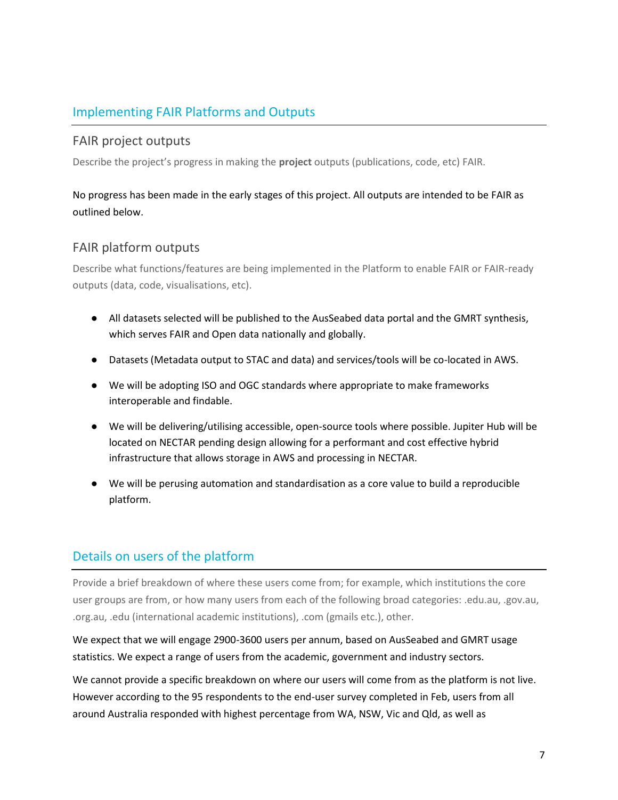# Implementing FAIR Platforms and Outputs

### FAIR project outputs

Describe the project's progress in making the **project** outputs (publications, code, etc) FAIR.

### No progress has been made in the early stages of this project. All outputs are intended to be FAIR as outlined below.

### FAIR platform outputs

Describe what functions/features are being implemented in the Platform to enable FAIR or FAIR-ready outputs (data, code, visualisations, etc).

- All datasets selected will be published to the AusSeabed data portal and the GMRT synthesis, which serves FAIR and Open data nationally and globally.
- Datasets (Metadata output to STAC and data) and services/tools will be co-located in AWS.
- We will be adopting ISO and OGC standards where appropriate to make frameworks interoperable and findable.
- We will be delivering/utilising accessible, open-source tools where possible. Jupiter Hub will be located on NECTAR pending design allowing for a performant and cost effective hybrid infrastructure that allows storage in AWS and processing in NECTAR.
- We will be perusing automation and standardisation as a core value to build a reproducible platform.

## <span id="page-6-0"></span>Details on users of the platform

Provide a brief breakdown of where these users come from; for example, which institutions the core user groups are from, or how many users from each of the following broad categories: .edu.au, .gov.au, .org.au, .edu (international academic institutions), .com (gmails etc.), other.

We expect that we will engage 2900-3600 users per annum, based on AusSeabed and GMRT usage statistics. We expect a range of users from the academic, government and industry sectors.

We cannot provide a specific breakdown on where our users will come from as the platform is not live. However according to the 95 respondents to the end-user survey completed in Feb, users from all around Australia responded with highest percentage from WA, NSW, Vic and Qld, as well as